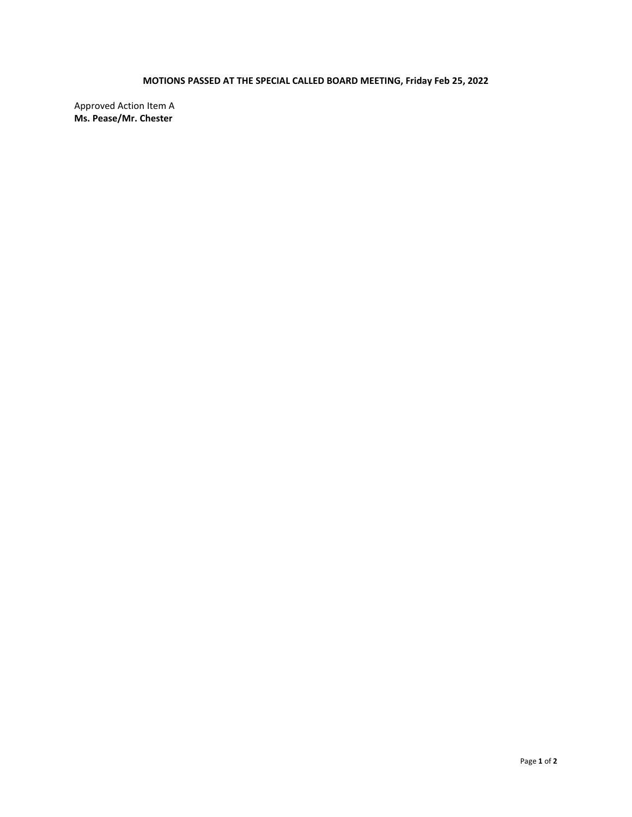# **MOTIONS PASSED AT THE SPECIAL CALLED BOARD MEETING, Friday Feb 25, 2022**

Approved Action Item A **Ms. Pease/Mr. Chester**